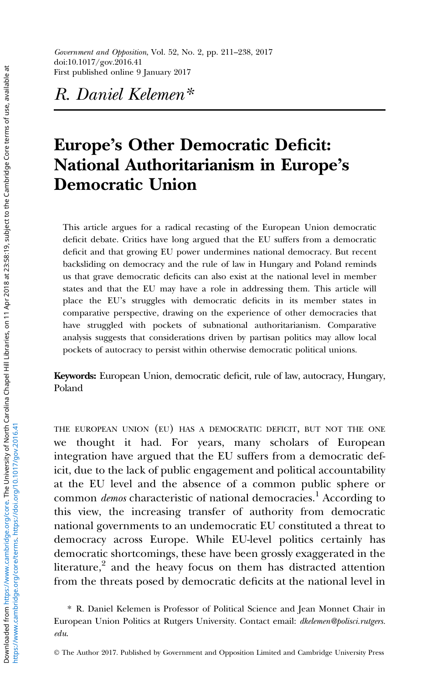R. Daniel Kelemen\*

# Europe's Other Democratic Deficit: National Authoritarianism in Europe's Democratic Union

This article argues for a radical recasting of the European Union democratic deficit debate. Critics have long argued that the EU suffers from a democratic deficit and that growing EU power undermines national democracy. But recent backsliding on democracy and the rule of law in Hungary and Poland reminds us that grave democratic deficits can also exist at the national level in member states and that the EU may have a role in addressing them. This article will place the EU's struggles with democratic deficits in its member states in comparative perspective, drawing on the experience of other democracies that have struggled with pockets of subnational authoritarianism. Comparative analysis suggests that considerations driven by partisan politics may allow local pockets of autocracy to persist within otherwise democratic political unions.

Keywords: European Union, democratic deficit, rule of law, autocracy, Hungary, Poland

THE EUROPEAN UNION (EU) HAS A DEMOCRATIC DEFICIT, BUT NOT THE ONE we thought it had. For years, many scholars of European integration have argued that the EU suffers from a democratic deficit, due to the lack of public engagement and political accountability at the EU level and the absence of a common public sphere or common *demos* characteristic of national democracies.<sup>1</sup> According to this view, the increasing transfer of authority from democratic national governments to an undemocratic EU constituted a threat to democracy across Europe. While EU-level politics certainly has democratic shortcomings, these have been grossly exaggerated in the literature, $2$  and the heavy focus on them has distracted attention from the threats posed by democratic deficits at the national level in

<sup>\*</sup> R. Daniel Kelemen is Professor of Political Science and Jean Monnet Chair in European Union Politics at Rutgers University. Contact email: [dkelemen@polisci.rutgers.](mailto:dkelemen@polisci.rutgers.edu) [edu](mailto:dkelemen@polisci.rutgers.edu).

<sup>©</sup> The Author 2017. Published by Government and Opposition Limited and Cambridge University Press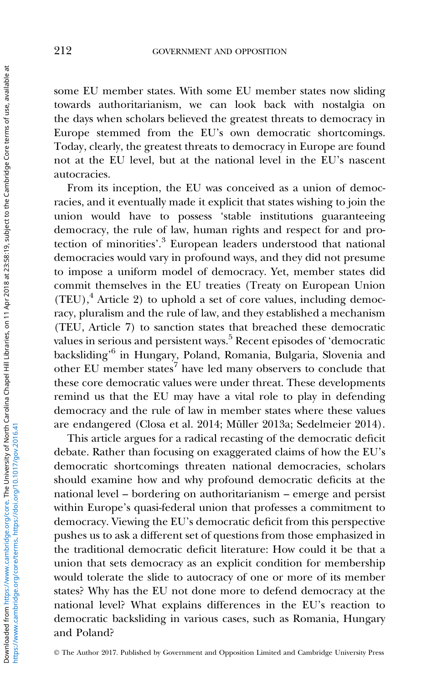some EU member states. With some EU member states now sliding towards authoritarianism, we can look back with nostalgia on the days when scholars believed the greatest threats to democracy in Europe stemmed from the EU's own democratic shortcomings. Today, clearly, the greatest threats to democracy in Europe are found not at the EU level, but at the national level in the EU's nascent autocracies.

From its inception, the EU was conceived as a union of democracies, and it eventually made it explicit that states wishing to join the union would have to possess 'stable institutions guaranteeing democracy, the rule of law, human rights and respect for and protection of minorities'. <sup>3</sup> European leaders understood that national democracies would vary in profound ways, and they did not presume to impose a uniform model of democracy. Yet, member states did commit themselves in the EU treaties (Treaty on European Union  $(TEU)$ ,<sup>4</sup> Article 2) to uphold a set of core values, including democracy, pluralism and the rule of law, and they established a mechanism (TEU, Article 7) to sanction states that breached these democratic values in serious and persistent ways.<sup>5</sup> Recent episodes of 'democratic backsliding' <sup>6</sup> in Hungary, Poland, Romania, Bulgaria, Slovenia and other EU member states<sup>7</sup> have led many observers to conclude that these core democratic values were under threat. These developments remind us that the EU may have a vital role to play in defending democracy and the rule of law in member states where these values are endangered (Closa et al. 2014; Müller [2013a;](#page-26-0) Sedelmeier [2014](#page-27-0)).

This article argues for a radical recasting of the democratic deficit debate. Rather than focusing on exaggerated claims of how the EU's democratic shortcomings threaten national democracies, scholars should examine how and why profound democratic deficits at the national level – bordering on authoritarianism – emerge and persist within Europe's quasi-federal union that professes a commitment to democracy. Viewing the EU's democratic deficit from this perspective pushes us to ask a different set of questions from those emphasized in the traditional democratic deficit literature: How could it be that a union that sets democracy as an explicit condition for membership would tolerate the slide to autocracy of one or more of its member states? Why has the EU not done more to defend democracy at the national level? What explains differences in the EU's reaction to democratic backsliding in various cases, such as Romania, Hungary and Poland?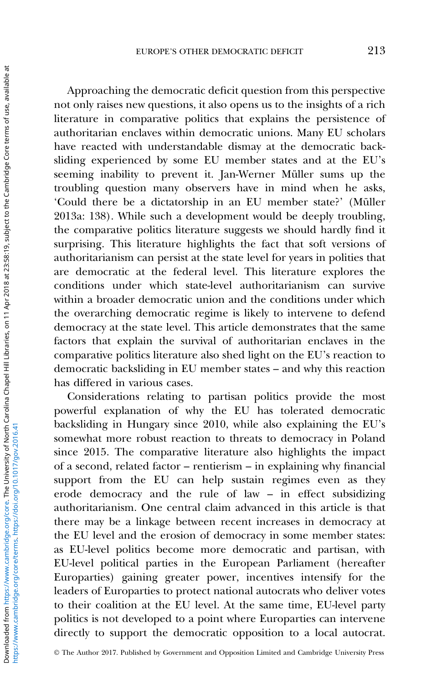Approaching the democratic deficit question from this perspective not only raises new questions, it also opens us to the insights of a rich literature in comparative politics that explains the persistence of authoritarian enclaves within democratic unions. Many EU scholars have reacted with understandable dismay at the democratic backsliding experienced by some EU member states and at the EU's seeming inability to prevent it. Jan-Werner Müller sums up the troubling question many observers have in mind when he asks, 'Could there be a dictatorship in an EU member state?' (Müller [2013a](#page-26-0): 138). While such a development would be deeply troubling, the comparative politics literature suggests we should hardly find it surprising. This literature highlights the fact that soft versions of authoritarianism can persist at the state level for years in polities that are democratic at the federal level. This literature explores the conditions under which state-level authoritarianism can survive within a broader democratic union and the conditions under which the overarching democratic regime is likely to intervene to defend democracy at the state level. This article demonstrates that the same factors that explain the survival of authoritarian enclaves in the comparative politics literature also shed light on the EU's reaction to democratic backsliding in EU member states – and why this reaction has differed in various cases.

Considerations relating to partisan politics provide the most powerful explanation of why the EU has tolerated democratic backsliding in Hungary since 2010, while also explaining the EU's somewhat more robust reaction to threats to democracy in Poland since 2015. The comparative literature also highlights the impact of a second, related factor – rentierism – in explaining why financial support from the EU can help sustain regimes even as they erode democracy and the rule of law – in effect subsidizing authoritarianism. One central claim advanced in this article is that there may be a linkage between recent increases in democracy at the EU level and the erosion of democracy in some member states: as EU-level politics become more democratic and partisan, with EU-level political parties in the European Parliament (hereafter Europarties) gaining greater power, incentives intensify for the leaders of Europarties to protect national autocrats who deliver votes to their coalition at the EU level. At the same time, EU-level party politics is not developed to a point where Europarties can intervene directly to support the democratic opposition to a local autocrat.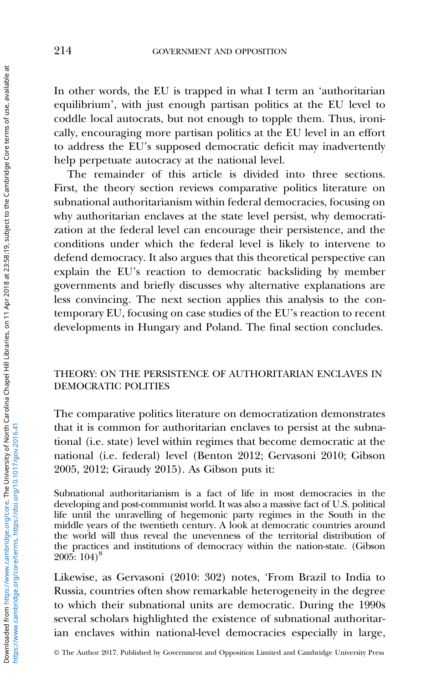In other words, the EU is trapped in what I term an 'authoritarian equilibrium', with just enough partisan politics at the EU level to coddle local autocrats, but not enough to topple them. Thus, ironically, encouraging more partisan politics at the EU level in an effort to address the EU's supposed democratic deficit may inadvertently help perpetuate autocracy at the national level.

The remainder of this article is divided into three sections. First, the theory section reviews comparative politics literature on subnational authoritarianism within federal democracies, focusing on why authoritarian enclaves at the state level persist, why democratization at the federal level can encourage their persistence, and the conditions under which the federal level is likely to intervene to defend democracy. It also argues that this theoretical perspective can explain the EU's reaction to democratic backsliding by member governments and briefly discusses why alternative explanations are less convincing. The next section applies this analysis to the contemporary EU, focusing on case studies of the EU's reaction to recent developments in Hungary and Poland. The final section concludes.

# THEORY: ON THE PERSISTENCE OF AUTHORITARIAN ENCLAVES IN DEMOCRATIC POLITIES

The comparative politics literature on democratization demonstrates that it is common for authoritarian enclaves to persist at the subnational (i.e. state) level within regimes that become democratic at the national (i.e. federal) level (Benton [2012](#page-23-0); Gervasoni [2010;](#page-25-0) Gibson [2005, 2012;](#page-25-0) Giraudy [2015\)](#page-25-0). As Gibson puts it:

Subnational authoritarianism is a fact of life in most democracies in the developing and post-communist world. It was also a massive fact of U.S. political life until the unravelling of hegemonic party regimes in the South in the middle years of the twentieth century. A look at democratic countries around the world will thus reveal the unevenness of the territorial distribution of the practices and institutions of democracy within the nation-state. (Gibson [2005](#page-25-0): 104)8

Likewise, as Gervasoni ([2010](#page-25-0): 302) notes, 'From Brazil to India to Russia, countries often show remarkable heterogeneity in the degree to which their subnational units are democratic. During the 1990s several scholars highlighted the existence of subnational authoritarian enclaves within national-level democracies especially in large,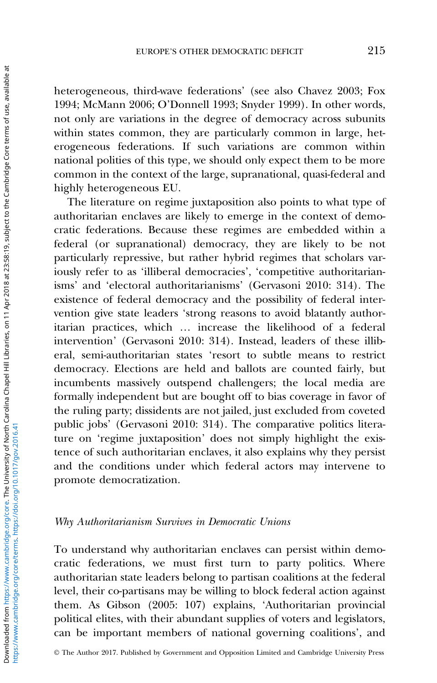heterogeneous, third-wave federations' (see also Chavez [2003](#page-23-0); Fox [1994;](#page-24-0) McMann [2006](#page-25-0); O'Donnell [1993;](#page-26-0) Snyder [1999](#page-27-0)). In other words, not only are variations in the degree of democracy across subunits within states common, they are particularly common in large, heterogeneous federations. If such variations are common within national polities of this type, we should only expect them to be more common in the context of the large, supranational, quasi-federal and highly heterogeneous EU.

The literature on regime juxtaposition also points to what type of authoritarian enclaves are likely to emerge in the context of democratic federations. Because these regimes are embedded within a federal (or supranational) democracy, they are likely to be not particularly repressive, but rather hybrid regimes that scholars variously refer to as 'illiberal democracies', 'competitive authoritarianisms' and 'electoral authoritarianisms' (Gervasoni [2010](#page-25-0): 314). The existence of federal democracy and the possibility of federal intervention give state leaders 'strong reasons to avoid blatantly authoritarian practices, which … increase the likelihood of a federal intervention' (Gervasoni [2010](#page-25-0): 314). Instead, leaders of these illiberal, semi-authoritarian states 'resort to subtle means to restrict democracy. Elections are held and ballots are counted fairly, but incumbents massively outspend challengers; the local media are formally independent but are bought off to bias coverage in favor of the ruling party; dissidents are not jailed, just excluded from coveted public jobs' (Gervasoni [2010:](#page-25-0) 314). The comparative politics literature on 'regime juxtaposition' does not simply highlight the existence of such authoritarian enclaves, it also explains why they persist and the conditions under which federal actors may intervene to promote democratization.

## Why Authoritarianism Survives in Democratic Unions

To understand why authoritarian enclaves can persist within democratic federations, we must first turn to party politics. Where authoritarian state leaders belong to partisan coalitions at the federal level, their co-partisans may be willing to block federal action against them. As Gibson [\(2005:](#page-25-0) 107) explains, 'Authoritarian provincial political elites, with their abundant supplies of voters and legislators, can be important members of national governing coalitions', and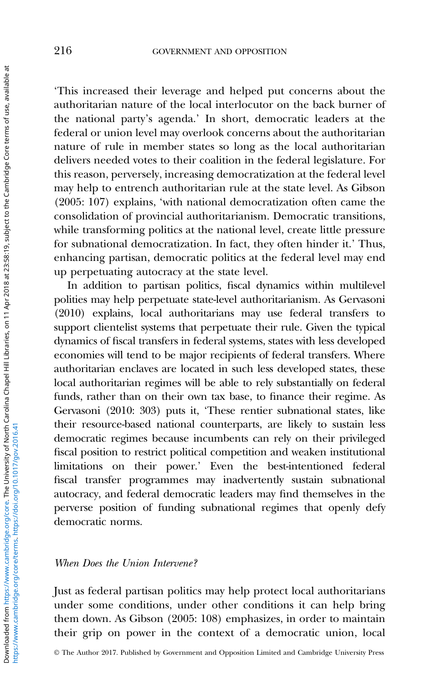'This increased their leverage and helped put concerns about the authoritarian nature of the local interlocutor on the back burner of the national party's agenda.' In short, democratic leaders at the federal or union level may overlook concerns about the authoritarian nature of rule in member states so long as the local authoritarian delivers needed votes to their coalition in the federal legislature. For this reason, perversely, increasing democratization at the federal level may help to entrench authoritarian rule at the state level. As Gibson ([2005](#page-25-0): 107) explains, 'with national democratization often came the consolidation of provincial authoritarianism. Democratic transitions, while transforming politics at the national level, create little pressure for subnational democratization. In fact, they often hinder it.' Thus, enhancing partisan, democratic politics at the federal level may end up perpetuating autocracy at the state level.

In addition to partisan politics, fiscal dynamics within multilevel polities may help perpetuate state-level authoritarianism. As Gervasoni ([2010](#page-25-0)) explains, local authoritarians may use federal transfers to support clientelist systems that perpetuate their rule. Given the typical dynamics of fiscal transfers in federal systems, states with less developed economies will tend to be major recipients of federal transfers. Where authoritarian enclaves are located in such less developed states, these local authoritarian regimes will be able to rely substantially on federal funds, rather than on their own tax base, to finance their regime. As Gervasoni ([2010](#page-25-0): 303) puts it, 'These rentier subnational states, like their resource-based national counterparts, are likely to sustain less democratic regimes because incumbents can rely on their privileged fiscal position to restrict political competition and weaken institutional limitations on their power.' Even the best-intentioned federal fiscal transfer programmes may inadvertently sustain subnational autocracy, and federal democratic leaders may find themselves in the perverse position of funding subnational regimes that openly defy democratic norms.

# When Does the Union Intervene?

Just as federal partisan politics may help protect local authoritarians under some conditions, under other conditions it can help bring them down. As Gibson ([2005](#page-25-0): 108) emphasizes, in order to maintain their grip on power in the context of a democratic union, local

© The Author 2017. Published by Government and Opposition Limited and Cambridge University Press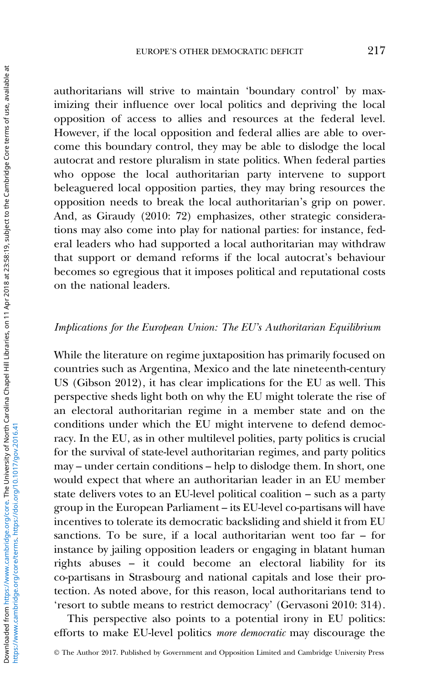authoritarians will strive to maintain 'boundary control' by maximizing their influence over local politics and depriving the local opposition of access to allies and resources at the federal level. However, if the local opposition and federal allies are able to overcome this boundary control, they may be able to dislodge the local autocrat and restore pluralism in state politics. When federal parties who oppose the local authoritarian party intervene to support beleaguered local opposition parties, they may bring resources the opposition needs to break the local authoritarian's grip on power. And, as Giraudy ([2010](#page-25-0): 72) emphasizes, other strategic considerations may also come into play for national parties: for instance, federal leaders who had supported a local authoritarian may withdraw that support or demand reforms if the local autocrat's behaviour becomes so egregious that it imposes political and reputational costs on the national leaders.

# Implications for the European Union: The EU's Authoritarian Equilibrium

While the literature on regime juxtaposition has primarily focused on countries such as Argentina, Mexico and the late nineteenth-century US (Gibson 2012), it has clear implications for the EU as well. This perspective sheds light both on why the EU might tolerate the rise of an electoral authoritarian regime in a member state and on the conditions under which the EU might intervene to defend democracy. In the EU, as in other multilevel polities, party politics is crucial for the survival of state-level authoritarian regimes, and party politics may – under certain conditions – help to dislodge them. In short, one would expect that where an authoritarian leader in an EU member state delivers votes to an EU-level political coalition – such as a party group in the European Parliament – its EU-level co-partisans will have incentives to tolerate its democratic backsliding and shield it from EU sanctions. To be sure, if a local authoritarian went too far – for instance by jailing opposition leaders or engaging in blatant human rights abuses – it could become an electoral liability for its co-partisans in Strasbourg and national capitals and lose their protection. As noted above, for this reason, local authoritarians tend to 'resort to subtle means to restrict democracy' (Gervasoni [2010:](#page-25-0) 314).

This perspective also points to a potential irony in EU politics: efforts to make EU-level politics more democratic may discourage the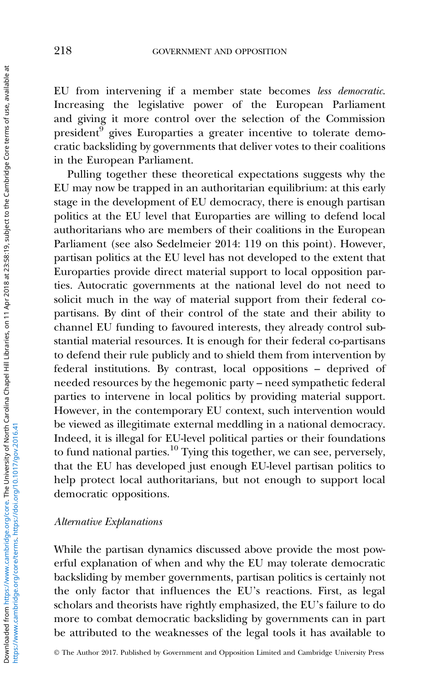EU from intervening if a member state becomes less democratic. Increasing the legislative power of the European Parliament and giving it more control over the selection of the Commission president<sup>9</sup> gives Europarties a greater incentive to tolerate democratic backsliding by governments that deliver votes to their coalitions in the European Parliament.

Pulling together these theoretical expectations suggests why the EU may now be trapped in an authoritarian equilibrium: at this early stage in the development of EU democracy, there is enough partisan politics at the EU level that Europarties are willing to defend local authoritarians who are members of their coalitions in the European Parliament (see also Sedelmeier [2014:](#page-27-0) 119 on this point). However, partisan politics at the EU level has not developed to the extent that Europarties provide direct material support to local opposition parties. Autocratic governments at the national level do not need to solicit much in the way of material support from their federal copartisans. By dint of their control of the state and their ability to channel EU funding to favoured interests, they already control substantial material resources. It is enough for their federal co-partisans to defend their rule publicly and to shield them from intervention by federal institutions. By contrast, local oppositions – deprived of needed resources by the hegemonic party – need sympathetic federal parties to intervene in local politics by providing material support. However, in the contemporary EU context, such intervention would be viewed as illegitimate external meddling in a national democracy. Indeed, it is illegal for EU-level political parties or their foundations to fund national parties.<sup>10</sup> Tying this together, we can see, perversely, that the EU has developed just enough EU-level partisan politics to help protect local authoritarians, but not enough to support local democratic oppositions.

# Alternative Explanations

While the partisan dynamics discussed above provide the most powerful explanation of when and why the EU may tolerate democratic backsliding by member governments, partisan politics is certainly not the only factor that influences the EU's reactions. First, as legal scholars and theorists have rightly emphasized, the EU's failure to do more to combat democratic backsliding by governments can in part be attributed to the weaknesses of the legal tools it has available to

© The Author 2017. Published by Government and Opposition Limited and Cambridge University Press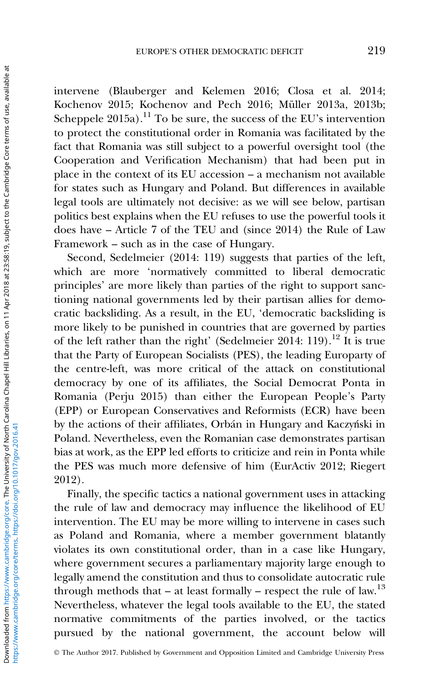intervene (Blauberger and Kelemen [2016;](#page-23-0) Closa et al. [2014;](#page-24-0) Kochenov [2015](#page-25-0); Kochenov and Pech [2016;](#page-25-0) Müller [2013a](#page-26-0), [2013b;](#page-26-0) Scheppele  $2015a$ .<sup>11</sup> To be sure, the success of the EU's intervention to protect the constitutional order in Romania was facilitated by the fact that Romania was still subject to a powerful oversight tool (the Cooperation and Verification Mechanism) that had been put in place in the context of its EU accession – a mechanism not available for states such as Hungary and Poland. But differences in available legal tools are ultimately not decisive: as we will see below, partisan politics best explains when the EU refuses to use the powerful tools it does have – Article 7 of the TEU and (since 2014) the Rule of Law Framework – such as in the case of Hungary.

Second, Sedelmeier (2014: 119) suggests that parties of the left, which are more 'normatively committed to liberal democratic principles' are more likely than parties of the right to support sanctioning national governments led by their partisan allies for democratic backsliding. As a result, in the EU, 'democratic backsliding is more likely to be punished in countries that are governed by parties of the left rather than the right' (Sedelmeier 2014: 119).<sup>12</sup> It is true that the Party of European Socialists (PES), the leading Europarty of the centre-left, was more critical of the attack on constitutional democracy by one of its affiliates, the Social Democrat Ponta in Romania (Perju [2015](#page-26-0)) than either the European People's Party (EPP) or European Conservatives and Reformists (ECR) have been by the actions of their affiliates, Orbán in Hungary and Kaczyński in Poland. Nevertheless, even the Romanian case demonstrates partisan bias at work, as the EPP led efforts to criticize and rein in Ponta while the PES was much more defensive of him (EurActiv [2012](#page-24-0); Riegert [2012\)](#page-26-0).

Finally, the specific tactics a national government uses in attacking the rule of law and democracy may influence the likelihood of EU intervention. The EU may be more willing to intervene in cases such as Poland and Romania, where a member government blatantly violates its own constitutional order, than in a case like Hungary, where government secures a parliamentary majority large enough to legally amend the constitution and thus to consolidate autocratic rule through methods that – at least formally – respect the rule of law.<sup>13</sup> Nevertheless, whatever the legal tools available to the EU, the stated normative commitments of the parties involved, or the tactics pursued by the national government, the account below will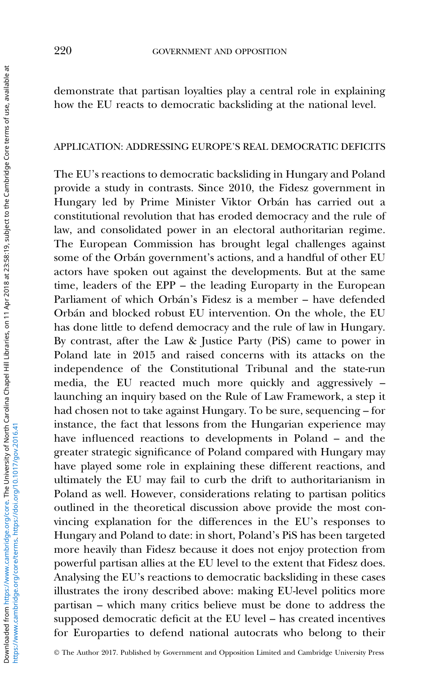demonstrate that partisan loyalties play a central role in explaining how the EU reacts to democratic backsliding at the national level.

## APPLICATION: ADDRESSING EUROPE'S REAL DEMOCRATIC DEFICITS

The EU's reactions to democratic backsliding in Hungary and Poland provide a study in contrasts. Since 2010, the Fidesz government in Hungary led by Prime Minister Viktor Orbán has carried out a constitutional revolution that has eroded democracy and the rule of law, and consolidated power in an electoral authoritarian regime. The European Commission has brought legal challenges against some of the Orbán government's actions, and a handful of other EU actors have spoken out against the developments. But at the same time, leaders of the EPP – the leading Europarty in the European Parliament of which Orbán's Fidesz is a member – have defended Orbán and blocked robust EU intervention. On the whole, the EU has done little to defend democracy and the rule of law in Hungary. By contrast, after the Law & Justice Party (PiS) came to power in Poland late in 2015 and raised concerns with its attacks on the independence of the Constitutional Tribunal and the state-run media, the EU reacted much more quickly and aggressively – launching an inquiry based on the Rule of Law Framework, a step it had chosen not to take against Hungary. To be sure, sequencing – for instance, the fact that lessons from the Hungarian experience may have influenced reactions to developments in Poland – and the greater strategic significance of Poland compared with Hungary may have played some role in explaining these different reactions, and ultimately the EU may fail to curb the drift to authoritarianism in Poland as well. However, considerations relating to partisan politics outlined in the theoretical discussion above provide the most convincing explanation for the differences in the EU's responses to Hungary and Poland to date: in short, Poland's PiS has been targeted more heavily than Fidesz because it does not enjoy protection from powerful partisan allies at the EU level to the extent that Fidesz does. Analysing the EU's reactions to democratic backsliding in these cases illustrates the irony described above: making EU-level politics more partisan – which many critics believe must be done to address the supposed democratic deficit at the EU level – has created incentives for Europarties to defend national autocrats who belong to their

© The Author 2017. Published by Government and Opposition Limited and Cambridge University Press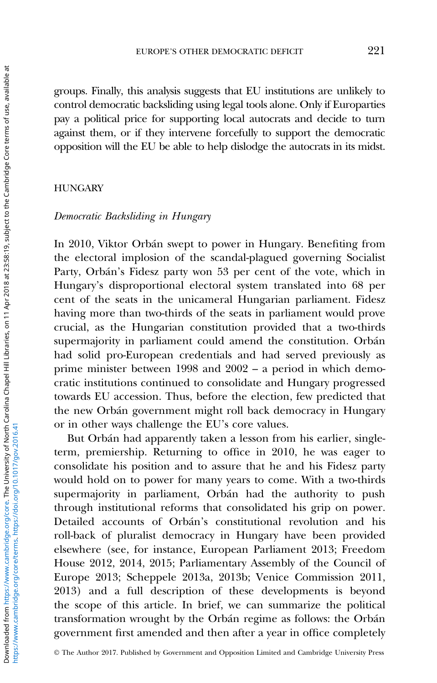groups. Finally, this analysis suggests that EU institutions are unlikely to control democratic backsliding using legal tools alone. Only if Europarties pay a political price for supporting local autocrats and decide to turn against them, or if they intervene forcefully to support the democratic opposition will the EU be able to help dislodge the autocrats in its midst.

## **HUNGARY**

# Democratic Backsliding in Hungary

In 2010, Viktor Orbán swept to power in Hungary. Benefiting from the electoral implosion of the scandal-plagued governing Socialist Party, Orbán's Fidesz party won 53 per cent of the vote, which in Hungary's disproportional electoral system translated into 68 per cent of the seats in the unicameral Hungarian parliament. Fidesz having more than two-thirds of the seats in parliament would prove crucial, as the Hungarian constitution provided that a two-thirds supermajority in parliament could amend the constitution. Orbán had solid pro-European credentials and had served previously as prime minister between 1998 and 2002 – a period in which democratic institutions continued to consolidate and Hungary progressed towards EU accession. Thus, before the election, few predicted that the new Orbán government might roll back democracy in Hungary or in other ways challenge the EU's core values.

But Orbán had apparently taken a lesson from his earlier, singleterm, premiership. Returning to office in 2010, he was eager to consolidate his position and to assure that he and his Fidesz party would hold on to power for many years to come. With a two-thirds supermajority in parliament, Orbán had the authority to push through institutional reforms that consolidated his grip on power. Detailed accounts of Orbán's constitutional revolution and his roll-back of pluralist democracy in Hungary have been provided elsewhere (see, for instance, European Parliament [2013](#page-24-0); Freedom House [2012, 2014](#page-24-0), [2015](#page-24-0); Parliamentary Assembly of the Council of Europe [2013;](#page-26-0) Scheppele [2013a](#page-26-0), [2013b;](#page-26-0) Venice Commission [2011,](#page-27-0) [2013\)](#page-27-0) and a full description of these developments is beyond the scope of this article. In brief, we can summarize the political transformation wrought by the Orbán regime as follows: the Orbán government first amended and then after a year in office completely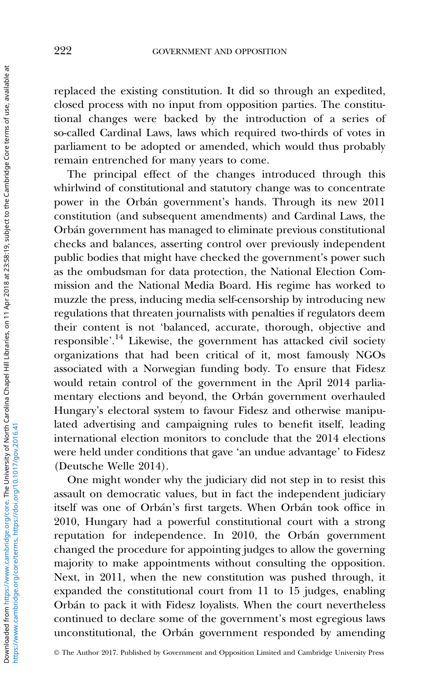replaced the existing constitution. It did so through an expedited, closed process with no input from opposition parties. The constitutional changes were backed by the introduction of a series of so-called Cardinal Laws, laws which required two-thirds of votes in parliament to be adopted or amended, which would thus probably remain entrenched for many years to come.

The principal effect of the changes introduced through this whirlwind of constitutional and statutory change was to concentrate power in the Orbán government's hands. Through its new 2011 constitution (and subsequent amendments) and Cardinal Laws, the Orbán government has managed to eliminate previous constitutional checks and balances, asserting control over previously independent public bodies that might have checked the government's power such as the ombudsman for data protection, the National Election Commission and the National Media Board. His regime has worked to muzzle the press, inducing media self-censorship by introducing new regulations that threaten journalists with penalties if regulators deem their content is not 'balanced, accurate, thorough, objective and responsible<sup>'.14</sup> Likewise, the government has attacked civil society organizations that had been critical of it, most famously NGOs associated with a Norwegian funding body. To ensure that Fidesz would retain control of the government in the April 2014 parliamentary elections and beyond, the Orbán government overhauled Hungary's electoral system to favour Fidesz and otherwise manipulated advertising and campaigning rules to benefit itself, leading international election monitors to conclude that the 2014 elections were held under conditions that gave 'an undue advantage' to Fidesz (Deutsche Welle [2014](#page-24-0)).

One might wonder why the judiciary did not step in to resist this assault on democratic values, but in fact the independent judiciary itself was one of Orbán's first targets. When Orbán took office in 2010, Hungary had a powerful constitutional court with a strong reputation for independence. In 2010, the Orbán government changed the procedure for appointing judges to allow the governing majority to make appointments without consulting the opposition. Next, in 2011, when the new constitution was pushed through, it expanded the constitutional court from 11 to 15 judges, enabling Orbán to pack it with Fidesz loyalists. When the court nevertheless continued to declare some of the government's most egregious laws unconstitutional, the Orbán government responded by amending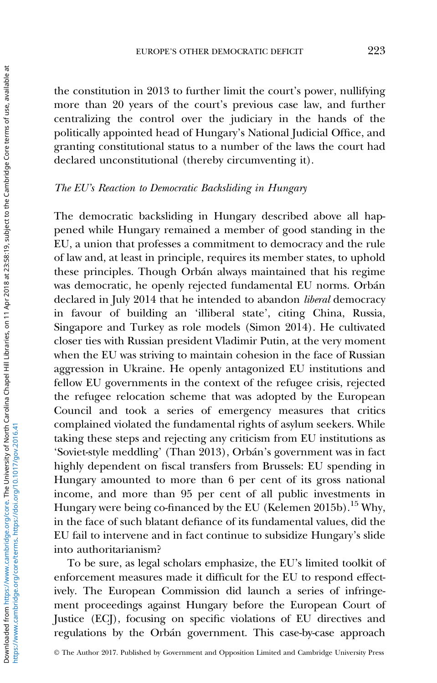the constitution in 2013 to further limit the court's power, nullifying more than 20 years of the court's previous case law, and further centralizing the control over the judiciary in the hands of the politically appointed head of Hungary's National Judicial Office, and granting constitutional status to a number of the laws the court had declared unconstitutional (thereby circumventing it).

# The EU's Reaction to Democratic Backsliding in Hungary

The democratic backsliding in Hungary described above all happened while Hungary remained a member of good standing in the EU, a union that professes a commitment to democracy and the rule of law and, at least in principle, requires its member states, to uphold these principles. Though Orbán always maintained that his regime was democratic, he openly rejected fundamental EU norms. Orbán declared in July 2014 that he intended to abandon liberal democracy in favour of building an 'illiberal state', citing China, Russia, Singapore and Turkey as role models (Simon [2014\)](#page-27-0). He cultivated closer ties with Russian president Vladimir Putin, at the very moment when the EU was striving to maintain cohesion in the face of Russian aggression in Ukraine. He openly antagonized EU institutions and fellow EU governments in the context of the refugee crisis, rejected the refugee relocation scheme that was adopted by the European Council and took a series of emergency measures that critics complained violated the fundamental rights of asylum seekers. While taking these steps and rejecting any criticism from EU institutions as 'Soviet-style meddling' (Than [2013](#page-27-0)), Orbán's government was in fact highly dependent on fiscal transfers from Brussels: EU spending in Hungary amounted to more than 6 per cent of its gross national income, and more than 95 per cent of all public investments in Hungary were being co-financed by the EU (Kelemen [2015b\)](#page-25-0).<sup>15</sup> Why, in the face of such blatant defiance of its fundamental values, did the EU fail to intervene and in fact continue to subsidize Hungary's slide into authoritarianism?

To be sure, as legal scholars emphasize, the EU's limited toolkit of enforcement measures made it difficult for the EU to respond effectively. The European Commission did launch a series of infringement proceedings against Hungary before the European Court of Justice (ECJ), focusing on specific violations of EU directives and regulations by the Orbán government. This case-by-case approach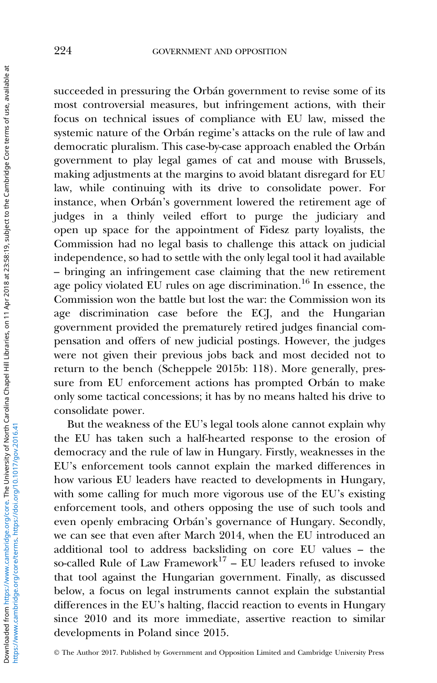succeeded in pressuring the Orbán government to revise some of its most controversial measures, but infringement actions, with their focus on technical issues of compliance with EU law, missed the systemic nature of the Orbán regime's attacks on the rule of law and democratic pluralism. This case-by-case approach enabled the Orbán government to play legal games of cat and mouse with Brussels, making adjustments at the margins to avoid blatant disregard for EU law, while continuing with its drive to consolidate power. For instance, when Orbán's government lowered the retirement age of judges in a thinly veiled effort to purge the judiciary and open up space for the appointment of Fidesz party loyalists, the Commission had no legal basis to challenge this attack on judicial independence, so had to settle with the only legal tool it had available – bringing an infringement case claiming that the new retirement age policy violated EU rules on age discrimination.<sup>16</sup> In essence, the Commission won the battle but lost the war: the Commission won its age discrimination case before the ECJ, and the Hungarian government provided the prematurely retired judges financial compensation and offers of new judicial postings. However, the judges were not given their previous jobs back and most decided not to return to the bench (Scheppele 2015b: 118). More generally, pressure from EU enforcement actions has prompted Orbán to make only some tactical concessions; it has by no means halted his drive to consolidate power.

But the weakness of the EU's legal tools alone cannot explain why the EU has taken such a half-hearted response to the erosion of democracy and the rule of law in Hungary. Firstly, weaknesses in the EU's enforcement tools cannot explain the marked differences in how various EU leaders have reacted to developments in Hungary, with some calling for much more vigorous use of the EU's existing enforcement tools, and others opposing the use of such tools and even openly embracing Orbán's governance of Hungary. Secondly, we can see that even after March 2014, when the EU introduced an additional tool to address backsliding on core EU values – the so-called Rule of Law Framework<sup>17</sup> – EU leaders refused to invoke that tool against the Hungarian government. Finally, as discussed below, a focus on legal instruments cannot explain the substantial differences in the EU's halting, flaccid reaction to events in Hungary since 2010 and its more immediate, assertive reaction to similar developments in Poland since 2015.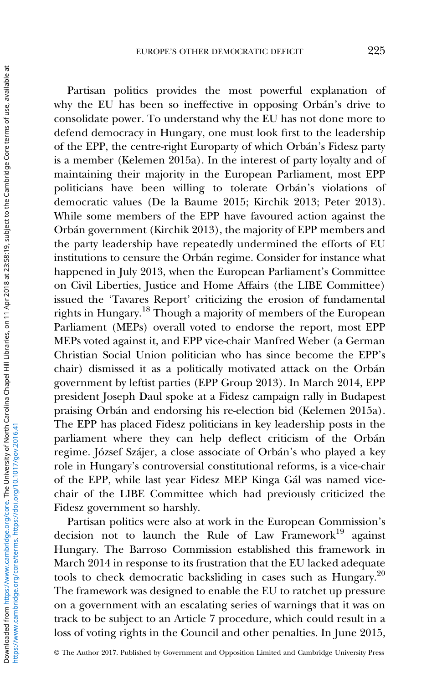Partisan politics provides the most powerful explanation of why the EU has been so ineffective in opposing Orbán's drive to consolidate power. To understand why the EU has not done more to defend democracy in Hungary, one must look first to the leadership of the EPP, the centre-right Europarty of which Orbán's Fidesz party is a member (Kelemen [2015a](#page-25-0)). In the interest of party loyalty and of maintaining their majority in the European Parliament, most EPP politicians have been willing to tolerate Orbán's violations of democratic values (De la Baume [2015](#page-24-0); Kirchik [2013;](#page-25-0) Peter [2013](#page-26-0)). While some members of the EPP have favoured action against the Orbán government (Kirchik [2013](#page-25-0)), the majority of EPP members and the party leadership have repeatedly undermined the efforts of EU institutions to censure the Orbán regime. Consider for instance what happened in July 2013, when the European Parliament's Committee on Civil Liberties, Justice and Home Affairs (the LIBE Committee) issued the 'Tavares Report' criticizing the erosion of fundamental rights in Hungary.<sup>18</sup> Though a majority of members of the European Parliament (MEPs) overall voted to endorse the report, most EPP MEPs voted against it, and EPP vice-chair Manfred Weber (a German Christian Social Union politician who has since become the EPP's chair) dismissed it as a politically motivated attack on the Orbán government by leftist parties (EPP Group [2013](#page-24-0)). In March 2014, EPP president Joseph Daul spoke at a Fidesz campaign rally in Budapest praising Orbán and endorsing his re-election bid (Kelemen [2015a](#page-25-0)). The EPP has placed Fidesz politicians in key leadership posts in the parliament where they can help deflect criticism of the Orbán regime. József Szájer, a close associate of Orbán's who played a key role in Hungary's controversial constitutional reforms, is a vice-chair of the EPP, while last year Fidesz MEP Kinga Gál was named vicechair of the LIBE Committee which had previously criticized the Fidesz government so harshly.

Partisan politics were also at work in the European Commission's decision not to launch the Rule of Law Framework<sup>19</sup> against Hungary. The Barroso Commission established this framework in March 2014 in response to its frustration that the EU lacked adequate tools to check democratic backsliding in cases such as Hungary.<sup>20</sup> The framework was designed to enable the EU to ratchet up pressure on a government with an escalating series of warnings that it was on track to be subject to an Article 7 procedure, which could result in a loss of voting rights in the Council and other penalties. In June 2015,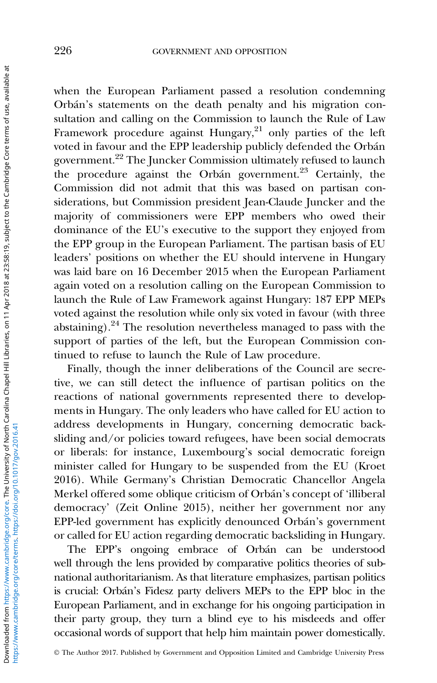when the European Parliament passed a resolution condemning Orbán's statements on the death penalty and his migration consultation and calling on the Commission to launch the Rule of Law Framework procedure against Hungary, $21$  only parties of the left voted in favour and the EPP leadership publicly defended the Orbán government.<sup>22</sup> The Juncker Commission ultimately refused to launch the procedure against the Orbán government.<sup>23</sup> Certainly, the Commission did not admit that this was based on partisan considerations, but Commission president Jean-Claude Juncker and the majority of commissioners were EPP members who owed their dominance of the EU's executive to the support they enjoyed from the EPP group in the European Parliament. The partisan basis of EU leaders' positions on whether the EU should intervene in Hungary was laid bare on 16 December 2015 when the European Parliament again voted on a resolution calling on the European Commission to launch the Rule of Law Framework against Hungary: 187 EPP MEPs voted against the resolution while only six voted in favour (with three abstaining).<sup>24</sup> The resolution nevertheless managed to pass with the support of parties of the left, but the European Commission continued to refuse to launch the Rule of Law procedure.

Finally, though the inner deliberations of the Council are secretive, we can still detect the influence of partisan politics on the reactions of national governments represented there to developments in Hungary. The only leaders who have called for EU action to address developments in Hungary, concerning democratic backsliding and/or policies toward refugees, have been social democrats or liberals: for instance, Luxembourg's social democratic foreign minister called for Hungary to be suspended from the EU (Kroet 2016). While Germany's Christian Democratic Chancellor Angela Merkel offered some oblique criticism of Orbán's concept of 'illiberal democracy' (Zeit Online [2015\)](#page-27-0), neither her government nor any EPP-led government has explicitly denounced Orbán's government or called for EU action regarding democratic backsliding in Hungary.

The EPP's ongoing embrace of Orbán can be understood well through the lens provided by comparative politics theories of subnational authoritarianism. As that literature emphasizes, partisan politics is crucial: Orbán's Fidesz party delivers MEPs to the EPP bloc in the European Parliament, and in exchange for his ongoing participation in their party group, they turn a blind eye to his misdeeds and offer occasional words of support that help him maintain power domestically.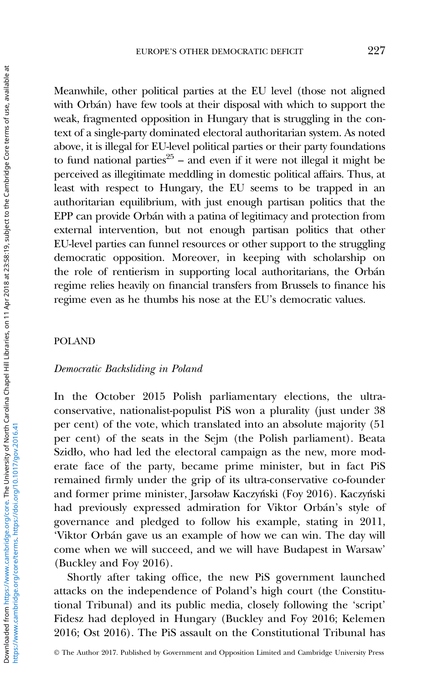Meanwhile, other political parties at the EU level (those not aligned with Orbán) have few tools at their disposal with which to support the weak, fragmented opposition in Hungary that is struggling in the context of a single-party dominated electoral authoritarian system. As noted above, it is illegal for EU-level political parties or their party foundations to fund national parties<sup>25</sup> – and even if it were not illegal it might be perceived as illegitimate meddling in domestic political affairs. Thus, at least with respect to Hungary, the EU seems to be trapped in an authoritarian equilibrium, with just enough partisan politics that the EPP can provide Orbán with a patina of legitimacy and protection from external intervention, but not enough partisan politics that other EU-level parties can funnel resources or other support to the struggling democratic opposition. Moreover, in keeping with scholarship on the role of rentierism in supporting local authoritarians, the Orbán regime relies heavily on financial transfers from Brussels to finance his regime even as he thumbs his nose at the EU's democratic values.

### POLAND

#### Democratic Backsliding in Poland

In the October 2015 Polish parliamentary elections, the ultraconservative, nationalist-populist PiS won a plurality (just under 38 per cent) of the vote, which translated into an absolute majority (51 per cent) of the seats in the Sejm (the Polish parliament). Beata Szidło, who had led the electoral campaign as the new, more moderate face of the party, became prime minister, but in fact PiS remained firmly under the grip of its ultra-conservative co-founder and former prime minister, Jarsoław Kaczyński (Foy [2016\)](#page-24-0). Kaczyński had previously expressed admiration for Viktor Orbán's style of governance and pledged to follow his example, stating in 2011, 'Viktor Orbán gave us an example of how we can win. The day will come when we will succeed, and we will have Budapest in Warsaw' (Buckley and Foy [2016](#page-23-0)).

Shortly after taking office, the new PiS government launched attacks on the independence of Poland's high court (the Constitutional Tribunal) and its public media, closely following the 'script' Fidesz had deployed in Hungary (Buckley and Foy [2016;](#page-23-0) Kelemen [2016;](#page-25-0) Ost [2016](#page-26-0)). The PiS assault on the Constitutional Tribunal has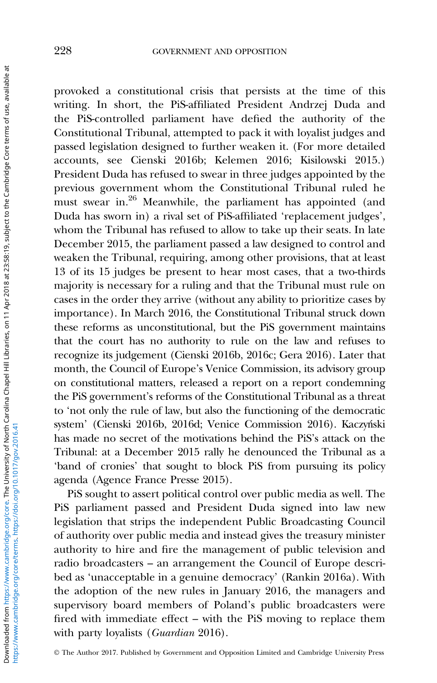provoked a constitutional crisis that persists at the time of this writing. In short, the PiS-affiliated President Andrzej Duda and the PiS-controlled parliament have defied the authority of the Constitutional Tribunal, attempted to pack it with loyalist judges and passed legislation designed to further weaken it. (For more detailed accounts, see Cienski [2016b](#page-23-0); Kelemen [2016;](#page-25-0) Kisilowski [2015](#page-25-0).) President Duda has refused to swear in three judges appointed by the previous government whom the Constitutional Tribunal ruled he must swear in.<sup>26</sup> Meanwhile, the parliament has appointed (and Duda has sworn in) a rival set of PiS-affiliated 'replacement judges', whom the Tribunal has refused to allow to take up their seats. In late December 2015, the parliament passed a law designed to control and weaken the Tribunal, requiring, among other provisions, that at least 13 of its 15 judges be present to hear most cases, that a two-thirds majority is necessary for a ruling and that the Tribunal must rule on cases in the order they arrive (without any ability to prioritize cases by importance). In March 2016, the Constitutional Tribunal struck down these reforms as unconstitutional, but the PiS government maintains that the court has no authority to rule on the law and refuses to recognize its judgement (Cienski [2016b](#page-23-0), [2016c;](#page-23-0) Gera [2016\)](#page-25-0). Later that month, the Council of Europe's Venice Commission, its advisory group on constitutional matters, released a report on a report condemning the PiS government's reforms of the Constitutional Tribunal as a threat to 'not only the rule of law, but also the functioning of the democratic system' (Cienski [2016b,](#page-23-0) [2016d](#page-24-0); Venice Commission [2016\)](#page-27-0). Kaczyński has made no secret of the motivations behind the PiS's attack on the Tribunal: at a December 2015 rally he denounced the Tribunal as a 'band of cronies' that sought to block PiS from pursuing its policy agenda (Agence France Presse [2015](#page-23-0)).

PiS sought to assert political control over public media as well. The PiS parliament passed and President Duda signed into law new legislation that strips the independent Public Broadcasting Council of authority over public media and instead gives the treasury minister authority to hire and fire the management of public television and radio broadcasters – an arrangement the Council of Europe described as 'unacceptable in a genuine democracy' (Rankin [2016a\)](#page-26-0). With the adoption of the new rules in January 2016, the managers and supervisory board members of Poland's public broadcasters were fired with immediate effect – with the PiS moving to replace them with party loyalists (Guardian [2016\)](#page-25-0).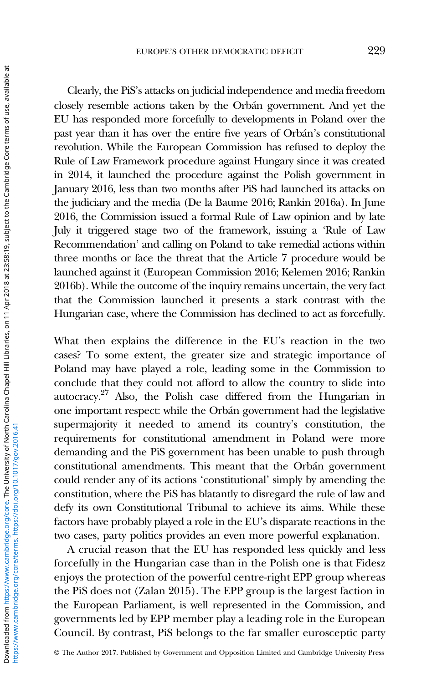Clearly, the PiS's attacks on judicial independence and media freedom closely resemble actions taken by the Orbán government. And yet the EU has responded more forcefully to developments in Poland over the past year than it has over the entire five years of Orbán's constitutional revolution. While the European Commission has refused to deploy the Rule of Law Framework procedure against Hungary since it was created in 2014, it launched the procedure against the Polish government in January 2016, less than two months after PiS had launched its attacks on the judiciary and the media (De la Baume [2016](#page-24-0); Rankin [2016a](#page-26-0)). In June 2016, the Commission issued a formal Rule of Law opinion and by late July it triggered stage two of the framework, issuing a 'Rule of Law Recommendation' and calling on Poland to take remedial actions within three months or face the threat that the Article 7 procedure would be launched against it (European Commission [2016](#page-24-0); Kelemen [2016;](#page-25-0) Rankin [2016b\)](#page-26-0). While the outcome of the inquiry remains uncertain, the very fact that the Commission launched it presents a stark contrast with the Hungarian case, where the Commission has declined to act as forcefully.

What then explains the difference in the EU's reaction in the two cases? To some extent, the greater size and strategic importance of Poland may have played a role, leading some in the Commission to conclude that they could not afford to allow the country to slide into autocracy.27 Also, the Polish case differed from the Hungarian in one important respect: while the Orbán government had the legislative supermajority it needed to amend its country's constitution, the requirements for constitutional amendment in Poland were more demanding and the PiS government has been unable to push through constitutional amendments. This meant that the Orbán government could render any of its actions 'constitutional' simply by amending the constitution, where the PiS has blatantly to disregard the rule of law and defy its own Constitutional Tribunal to achieve its aims. While these factors have probably played a role in the EU's disparate reactions in the two cases, party politics provides an even more powerful explanation.

A crucial reason that the EU has responded less quickly and less forcefully in the Hungarian case than in the Polish one is that Fidesz enjoys the protection of the powerful centre-right EPP group whereas the PiS does not (Zalan [2015](#page-27-0)). The EPP group is the largest faction in the European Parliament, is well represented in the Commission, and governments led by EPP member play a leading role in the European Council. By contrast, PiS belongs to the far smaller eurosceptic party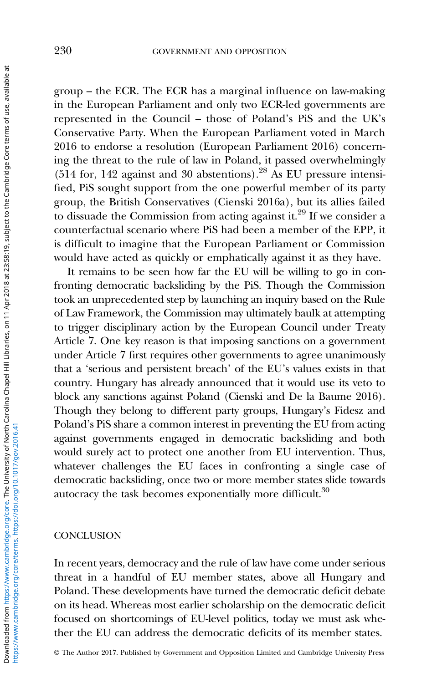group – the ECR. The ECR has a marginal influence on law-making in the European Parliament and only two ECR-led governments are represented in the Council – those of Poland's PiS and the UK's Conservative Party. When the European Parliament voted in March 2016 to endorse a resolution (European Parliament [2016\)](#page-24-0) concerning the threat to the rule of law in Poland, it passed overwhelmingly  $(514$  for, 142 against and 30 abstentions).<sup>28</sup> As EU pressure intensified, PiS sought support from the one powerful member of its party group, the British Conservatives (Cienski [2016a\)](#page-23-0), but its allies failed to dissuade the Commission from acting against it.<sup>29</sup> If we consider a counterfactual scenario where PiS had been a member of the EPP, it is difficult to imagine that the European Parliament or Commission would have acted as quickly or emphatically against it as they have.

It remains to be seen how far the EU will be willing to go in confronting democratic backsliding by the PiS. Though the Commission took an unprecedented step by launching an inquiry based on the Rule of Law Framework, the Commission may ultimately baulk at attempting to trigger disciplinary action by the European Council under Treaty Article 7. One key reason is that imposing sanctions on a government under Article 7 first requires other governments to agree unanimously that a 'serious and persistent breach' of the EU's values exists in that country. Hungary has already announced that it would use its veto to block any sanctions against Poland (Cienski and De la Baume [2016\)](#page-24-0). Though they belong to different party groups, Hungary's Fidesz and Poland's PiS share a common interest in preventing the EU from acting against governments engaged in democratic backsliding and both would surely act to protect one another from EU intervention. Thus, whatever challenges the EU faces in confronting a single case of democratic backsliding, once two or more member states slide towards autocracy the task becomes exponentially more difficult.<sup>30</sup>

# **CONCLUSION**

In recent years, democracy and the rule of law have come under serious threat in a handful of EU member states, above all Hungary and Poland. These developments have turned the democratic deficit debate on its head. Whereas most earlier scholarship on the democratic deficit focused on shortcomings of EU-level politics, today we must ask whether the EU can address the democratic deficits of its member states.

© The Author 2017. Published by Government and Opposition Limited and Cambridge University Press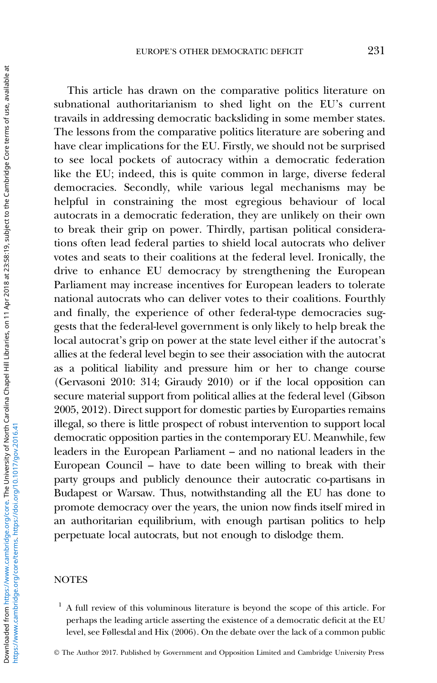This article has drawn on the comparative politics literature on subnational authoritarianism to shed light on the EU's current travails in addressing democratic backsliding in some member states. The lessons from the comparative politics literature are sobering and have clear implications for the EU. Firstly, we should not be surprised to see local pockets of autocracy within a democratic federation like the EU; indeed, this is quite common in large, diverse federal democracies. Secondly, while various legal mechanisms may be helpful in constraining the most egregious behaviour of local autocrats in a democratic federation, they are unlikely on their own to break their grip on power. Thirdly, partisan political considerations often lead federal parties to shield local autocrats who deliver votes and seats to their coalitions at the federal level. Ironically, the drive to enhance EU democracy by strengthening the European Parliament may increase incentives for European leaders to tolerate national autocrats who can deliver votes to their coalitions. Fourthly and finally, the experience of other federal-type democracies suggests that the federal-level government is only likely to help break the local autocrat's grip on power at the state level either if the autocrat's allies at the federal level begin to see their association with the autocrat as a political liability and pressure him or her to change course (Gervasoni [2010:](#page-25-0) 314; Giraudy [2010](#page-25-0)) or if the local opposition can secure material support from political allies at the federal level (Gibson [2005](#page-25-0), [2012\)](#page-25-0). Direct support for domestic parties by Europarties remains illegal, so there is little prospect of robust intervention to support local democratic opposition parties in the contemporary EU. Meanwhile, few leaders in the European Parliament – and no national leaders in the European Council – have to date been willing to break with their party groups and publicly denounce their autocratic co-partisans in Budapest or Warsaw. Thus, notwithstanding all the EU has done to promote democracy over the years, the union now finds itself mired in an authoritarian equilibrium, with enough partisan politics to help perpetuate local autocrats, but not enough to dislodge them.

### **NOTES**

 $<sup>1</sup>$  A full review of this voluminous literature is beyond the scope of this article. For</sup> perhaps the leading article asserting the existence of a democratic deficit at the EU level, see Føllesdal and Hix ([2006\)](#page-24-0). On the debate over the lack of a common public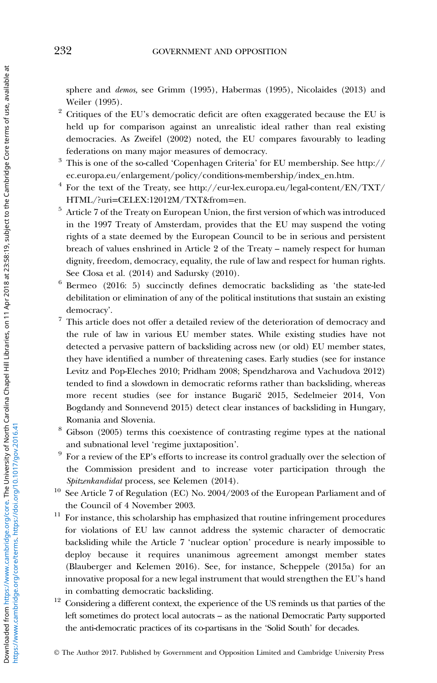sphere and demos, see Grimm [\(1995](#page-25-0)), Habermas ([1995](#page-25-0)), Nicolaides ([2013](#page-26-0)) and Weiler ([1995](#page-27-0)).

- $2$  Critiques of the EU's democratic deficit are often exaggerated because the EU is held up for comparison against an unrealistic ideal rather than real existing democracies. As Zweifel [\(2002](#page-27-0)) noted, the EU compares favourably to leading federations on many major measures of democracy.
- <sup>3</sup> This is one of the so-called 'Copenhagen Criteria' for EU membership. See [http://](http://ec.europa.eu/enlargement/policy/conditions-membership/index_en.htm) [ec.europa.eu/enlargement/policy/conditions-membership/index\\_en.htm](http://ec.europa.eu/enlargement/policy/conditions-membership/index_en.htm).
- $4$  For the text of the Treaty, see [http://eur-lex.europa.eu/legal-content/EN/TXT/](http://eur-lex.europa.eu/legal-content/EN/TXT/HTML/?uri=CELEX:12012M/TXT&from=en) HTML/?uri=[CELEX:12012M/TXT&from](http://eur-lex.europa.eu/legal-content/EN/TXT/HTML/?uri=CELEX:12012M/TXT&from=en)=en.
- <sup>5</sup> Article 7 of the Treaty on European Union, the first version of which was introduced in the 1997 Treaty of Amsterdam, provides that the EU may suspend the voting rights of a state deemed by the European Council to be in serious and persistent breach of values enshrined in Article 2 of the Treaty – namely respect for human dignity, freedom, democracy, equality, the rule of law and respect for human rights. See Closa et al. [\(2014\)](#page-24-0) and Sadursky ([2010](#page-26-0)).
- <sup>6</sup> Bermeo [\(2016](#page-23-0): 5) succinctly defines democratic backsliding as 'the state-led debilitation or elimination of any of the political institutions that sustain an existing democracy'.
- $^7\,$  This article does not offer a detailed review of the deterioration of democracy and the rule of law in various EU member states. While existing studies have not detected a pervasive pattern of backsliding across new (or old) EU member states, they have identified a number of threatening cases. Early studies (see for instance Levitz and Pop-Eleches [2010](#page-25-0); Pridham [2008;](#page-26-0) Spendzharova and Vachudova [2012\)](#page-27-0) tended to find a slowdown in democratic reforms rather than backsliding, whereas more recent studies (see for instance Bugarič [2015,](#page-23-0) Sedelmeier [2014,](#page-27-0) Von Bogdandy and Sonnevend [2015\)](#page-27-0) detect clear instances of backsliding in Hungary, Romania and Slovenia.
- <sup>8</sup> Gibson [\(2005\)](#page-25-0) terms this coexistence of contrasting regime types at the national and subnational level 'regime juxtaposition'.
- <sup>9</sup> For a review of the EP's efforts to increase its control gradually over the selection of the Commission president and to increase voter participation through the Spitzenkandidat process, see Kelemen [\(2014](#page-25-0)).
- <sup>10</sup> See Article 7 of Regulation (EC) No. 2004/2003 of the European Parliament and of the Council of 4 November 2003.
- $11$  For instance, this scholarship has emphasized that routine infringement procedures for violations of EU law cannot address the systemic character of democratic backsliding while the Article 7 'nuclear option' procedure is nearly impossible to deploy because it requires unanimous agreement amongst member states (Blauberger and Kelemen [2016](#page-23-0)). See, for instance, Scheppele [\(2015a](#page-26-0)) for an innovative proposal for a new legal instrument that would strengthen the EU's hand in combatting democratic backsliding.
- $12$  Considering a different context, the experience of the US reminds us that parties of the left sometimes do protect local autocrats – as the national Democratic Party supported the anti-democratic practices of its co-partisans in the 'Solid South' for decades.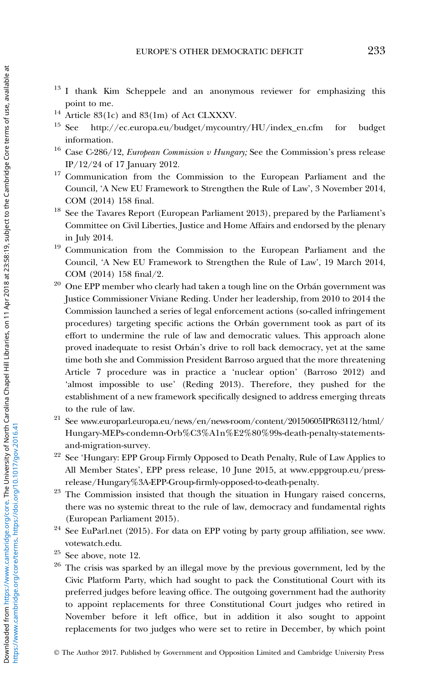- <sup>13</sup> I thank Kim Scheppele and an anonymous reviewer for emphasizing this point to me.
- <sup>14</sup> Article 83(1c) and 83(1m) of Act CLXXXV.
- <sup>15</sup> See http://ec.europa.eu/budget/mycountry/HU/index\_en.cfm for budget information.
- <sup>16</sup> Case C-286/12, *European Commission v Hungary*; See the Commission's press release IP/12/24 of 17 January 2012.
- <sup>17</sup> Communication from the Commission to the European Parliament and the Council, 'A New EU Framework to Strengthen the Rule of Law', 3 November 2014, COM (2014) 158 final.
- <sup>18</sup> See the Tavares Report (European Parliament 2013), prepared by the Parliament's Committee on Civil Liberties, Justice and Home Affairs and endorsed by the plenary in July 2014.
- <sup>19</sup> Communication from the Commission to the European Parliament and the Council, 'A New EU Framework to Strengthen the Rule of Law', 19 March 2014, COM (2014) 158 final/2.
- $20$  One EPP member who clearly had taken a tough line on the Orbán government was Justice Commissioner Viviane Reding. Under her leadership, from 2010 to 2014 the Commission launched a series of legal enforcement actions (so-called infringement procedures) targeting specific actions the Orbán government took as part of its effort to undermine the rule of law and democratic values. This approach alone proved inadequate to resist Orbán's drive to roll back democracy, yet at the same time both she and Commission President Barroso argued that the more threatening Article 7 procedure was in practice a 'nuclear option' (Barroso [2012](#page-23-0)) and 'almost impossible to use' (Reding [2013](#page-26-0)). Therefore, they pushed for the establishment of a new framework specifically designed to address emerging threats to the rule of law.
- <sup>21</sup> See [www.europarl.europa.eu/news/en/news-room/content/20150605IPR63112/html/](www.europarl.europa.eu/news/en/news-room/content/20150605IPR63112/html/Hungary-MEPs-condemn-Orb%C3%A1n%E2%80%99s-death-penalty-statements-and-migration-survey) [Hungary-MEPs-condemn-Orb%C3%A1n%E2%80%99s-death-penalty-statements](www.europarl.europa.eu/news/en/news-room/content/20150605IPR63112/html/Hungary-MEPs-condemn-Orb%C3%A1n%E2%80%99s-death-penalty-statements-and-migration-survey)[and-migration-survey.](www.europarl.europa.eu/news/en/news-room/content/20150605IPR63112/html/Hungary-MEPs-condemn-Orb%C3%A1n%E2%80%99s-death-penalty-statements-and-migration-survey)
- <sup>22</sup> See 'Hungary: EPP Group Firmly Opposed to Death Penalty, Rule of Law Applies to All Member States', EPP press release, 10 June 2015, at [www.eppgroup.eu/press](www.eppgroup.eu/press-release/Hungary%3A-EPP-Group-firmly-opposed-to-death-penalty)[release/Hungary%3A-EPP-Group-](www.eppgroup.eu/press-release/Hungary%3A-EPP-Group-firmly-opposed-to-death-penalty)firmly-opposed-to-death-penalty.
- $23$  The Commission insisted that though the situation in Hungary raised concerns, there was no systemic threat to the rule of law, democracy and fundamental rights (European Parliament [2015](#page-24-0)).
- <sup>24</sup> See EuParl.net [\(2015\)](#page-24-0). For data on EPP voting by party group affiliation, see [www.](www.votewatch.edu) [votewatch.edu](www.votewatch.edu).
- $25$  See above, note 12.
- <sup>26</sup> The crisis was sparked by an illegal move by the previous government, led by the Civic Platform Party, which had sought to pack the Constitutional Court with its preferred judges before leaving office. The outgoing government had the authority to appoint replacements for three Constitutional Court judges who retired in November before it left office, but in addition it also sought to appoint replacements for two judges who were set to retire in December, by which point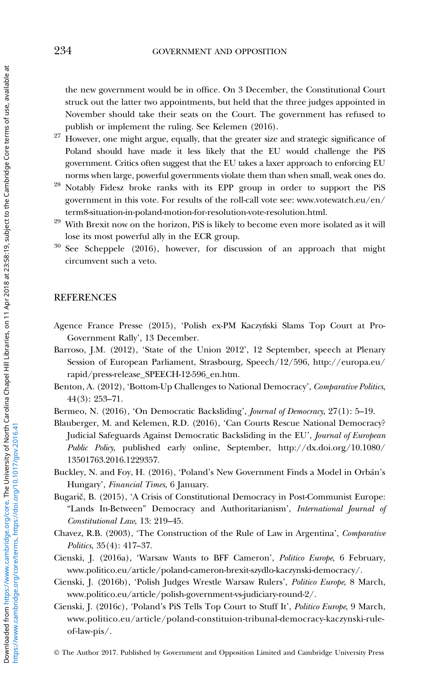<span id="page-23-0"></span>the new government would be in office. On 3 December, the Constitutional Court struck out the latter two appointments, but held that the three judges appointed in November should take their seats on the Court. The government has refused to publish or implement the ruling. See Kelemen ([2016\)](#page-25-0).

- $27$  However, one might argue, equally, that the greater size and strategic significance of Poland should have made it less likely that the EU would challenge the PiS government. Critics often suggest that the EU takes a laxer approach to enforcing EU norms when large, powerful governments violate them than when small, weak ones do.
- <sup>28</sup> Notably Fidesz broke ranks with its EPP group in order to support the PiS government in this vote. For results of the roll-call vote see: [www.votewatch.eu/en/](www.votewatch.eu/en/term8-situation-in-poland-motion-for-resolution-vote-resolution.html) [term8-situation-in-poland-motion-for-resolution-vote-resolution.html](www.votewatch.eu/en/term8-situation-in-poland-motion-for-resolution-vote-resolution.html).
- <sup>29</sup> With Brexit now on the horizon, PiS is likely to become even more isolated as it will lose its most powerful ally in the ECR group.
- <sup>30</sup> See Scheppele ([2016](#page-26-0)), however, for discussion of an approach that might circumvent such a veto.

# **REFERENCES**

- Agence France Presse (2015), 'Polish ex-PM Kaczyński Slams Top Court at Pro-Government Rally', 13 December.
- Barroso, J.M. (2012), 'State of the Union 2012', 12 September, speech at Plenary Session of European Parliament, Strasbourg, Speech/12/596, http://europa.eu/ rapid/press-release\_SPEECH-12-596\_en.htm.
- Benton, A. (2012), 'Bottom-Up Challenges to National Democracy', Comparative Politics, 44(3): 253–71.
- Bermeo, N. (2016), 'On Democratic Backsliding', Journal of Democracy, 27(1): 5–19.
- Blauberger, M. and Kelemen, R.D. (2016), 'Can Courts Rescue National Democracy? Judicial Safeguards Against Democratic Backsliding in the EU', Journal of European Public Policy, published early online, September, http://dx.doi.org/10.1080/ 13501763.2016.1229357.
- Buckley, N. and Foy, H. (2016), 'Poland's New Government Finds a Model in Orbán's Hungary', *Financial Times*, 6 January.
- Bugarič, B. (2015), 'A Crisis of Constitutional Democracy in Post-Communist Europe: "Lands In-Between" Democracy and Authoritarianism', International Journal of Constitutional Law, 13: 219–45.
- Chavez, R.B. (2003), 'The Construction of the Rule of Law in Argentina', Comparative Politics, 35(4): 417–37.
- Cienski, J. (2016a), 'Warsaw Wants to BFF Cameron', Politico Europe, 6 February, [www.politico.eu/article/poland-cameron-brexit-szydlo-kaczynski-democracy/.](www.politico.eu/article/poland-cameron-brexit-szydlo-kaczynski-democracy/)
- Cienski, J. (2016b), 'Polish Judges Wrestle Warsaw Rulers', Politico Europe, 8 March, <www.politico.eu/article/polish-government-vs-judiciary-round-2/>.
- Cienski, J. (2016c), 'Poland's PiS Tells Top Court to Stuff It', Politico Europe, 9 March, [www.politico.eu/article/poland-constituion-tribunal-democracy-kaczynski-rule](www.politico.eu/article/poland-constituion-tribunal-democracy-kaczynski-rule-of-law-pis/)[of-law-pis/](www.politico.eu/article/poland-constituion-tribunal-democracy-kaczynski-rule-of-law-pis/).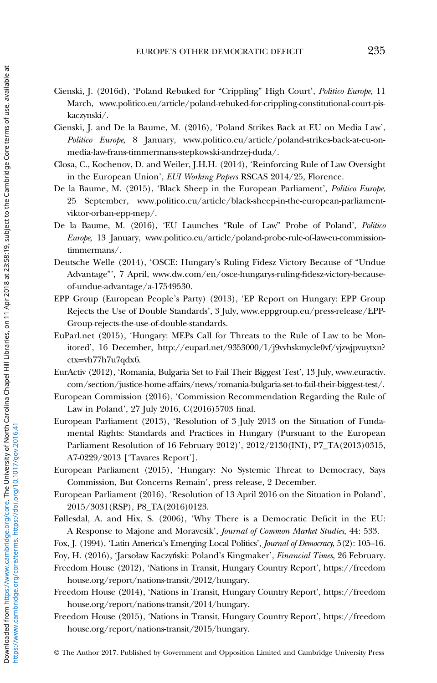- <span id="page-24-0"></span>Cienski, J. (2016d), 'Poland Rebuked for "Crippling" High Court', Politico Europe, 11 March, [www.politico.eu/article/poland-rebuked-for-crippling-constitutional-court-pis](www.politico.eu/article/poland-rebuked-for-crippling-constitutional-court-pis-kaczynski/)[kaczynski/](www.politico.eu/article/poland-rebuked-for-crippling-constitutional-court-pis-kaczynski/).
- Cienski, J. and De la Baume, M. (2016), 'Poland Strikes Back at EU on Media Law', Politico Europe, 8 January, [www.politico.eu/article/poland-strikes-back-at-eu-on](www.politico.eu/article/poland-strikes-back-at-eu-on-media-law-frans-timmermans-stepkowski-andrzej-duda/)[media-law-frans-timmermans-stepkowski-andrzej-duda/](www.politico.eu/article/poland-strikes-back-at-eu-on-media-law-frans-timmermans-stepkowski-andrzej-duda/).
- Closa, C., Kochenov, D. and Weiler, J.H.H. (2014), 'Reinforcing Rule of Law Oversight in the European Union', EUI Working Papers RSCAS 2014/25, Florence.
- De la Baume, M. (2015), 'Black Sheep in the European Parliament', Politico Europe, 25 September, [www.politico.eu/article/black-sheep-in-the-european-parliament](www.politico.eu/article/black-sheep-in-the-european-parliament-viktor-orban-epp-mep/)[viktor-orban-epp-mep/.](www.politico.eu/article/black-sheep-in-the-european-parliament-viktor-orban-epp-mep/)
- De la Baume, M. (2016), 'EU Launches "Rule of Law" Probe of Poland', Politico Europe, 13 January, [www.politico.eu/article/poland-probe-rule-of-law-eu-commission](www.politico.eu/article/poland-probe-rule-of-law-eu-commission-timmermans/)[timmermans/.](www.politico.eu/article/poland-probe-rule-of-law-eu-commission-timmermans/)
- Deutsche Welle (2014), 'OSCE: Hungary's Ruling Fidesz Victory Because of "Undue Advantage"', 7 April, [www.dw.com/en/osce-hungarys-ruling-](www.dw.com/en/osce-hungarys-ruling-fidesz-victory-because-of-undue-advantage/a-17549530)fidesz-victory-because[of-undue-advantage/a-17549530](www.dw.com/en/osce-hungarys-ruling-fidesz-victory-because-of-undue-advantage/a-17549530).
- EPP Group (European People's Party) (2013), 'EP Report on Hungary: EPP Group Rejects the Use of Double Standards', 3 July, [www.eppgroup.eu/press-release/EPP-](www.eppgroup.eu/press-release/EPP-Group-rejects-the-use-of-double-standards)[Group-rejects-the-use-of-double-standards](www.eppgroup.eu/press-release/EPP-Group-rejects-the-use-of-double-standards).
- EuParl.net (2015), 'Hungary: MEPs Call for Threats to the Rule of Law to be Monitored', 16 December, http://euparl.net/9353000/1/j9vvhskmycle0vf/vjzwjpvuytxn? ctx=vh77h7u7qdx6.
- EurActiv (2012), 'Romania, Bulgaria Set to Fail Their Biggest Test', 13 July, [www.euractiv.](www.euractiv.com/section/justice-home-affairs/news/romania-bulgaria-set-to-fail-their-biggest-test/) [com/section/justice-home-affairs/news/romania-bulgaria-set-to-fail-their-biggest-test/.](www.euractiv.com/section/justice-home-affairs/news/romania-bulgaria-set-to-fail-their-biggest-test/)
- European Commission (2016), 'Commission Recommendation Regarding the Rule of Law in Poland', 27 July 2016, C(2016)5703 final.
- European Parliament (2013), 'Resolution of 3 July 2013 on the Situation of Fundamental Rights: Standards and Practices in Hungary (Pursuant to the European Parliament Resolution of 16 February 2012)', 2012/2130(INI), P7\_TA(2013)0315, A7-0229/2013 ['Tavares Report'].
- European Parliament (2015), 'Hungary: No Systemic Threat to Democracy, Says Commission, But Concerns Remain', press release, 2 December.
- European Parliament (2016), 'Resolution of 13 April 2016 on the Situation in Poland', 2015/3031(RSP), P8\_TA(2016)0123.
- Føllesdal, A. and Hix, S. (2006), 'Why There is a Democratic Deficit in the EU: A Response to Majone and Moravcsik', Journal of Common Market Studies, 44: 533.
- Fox, J. (1994), 'Latin America's Emerging Local Politics', Journal of Democracy, 5(2): 105–16.
- Foy, H. (2016), 'Jarsoław Kaczyński: Poland's Kingmaker', Financial Times, 26 February.
- Freedom House (2012), 'Nations in Transit, Hungary Country Report', [https://freedom](https://freedomhouse.org/report/nations-transit/2012/hungary) [house.org/report/nations-transit/2012/hungary](https://freedomhouse.org/report/nations-transit/2012/hungary).
- Freedom House (2014), 'Nations in Transit, Hungary Country Report', [https://freedom](https://freedomhouse.org/report/nations-transit/2014/hungary) [house.org/report/nations-transit/2014/hungary](https://freedomhouse.org/report/nations-transit/2014/hungary).
- Freedom House (2015), 'Nations in Transit, Hungary Country Report', [https://freedom](https://freedomhouse.org/report/nations-transit/2015/hungary) [house.org/report/nations-transit/2015/hungary](https://freedomhouse.org/report/nations-transit/2015/hungary).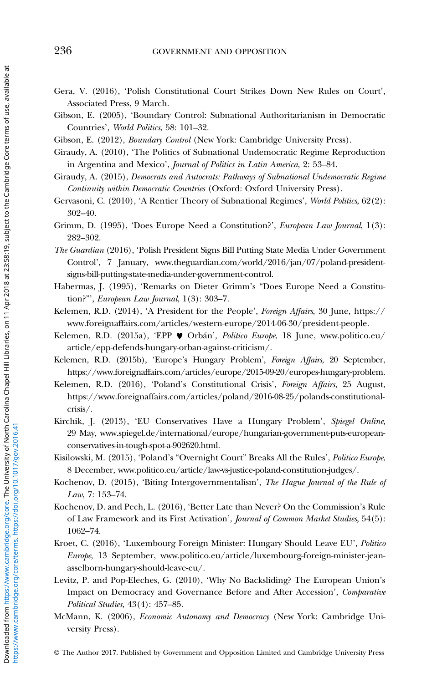- <span id="page-25-0"></span>Gera, V. (2016), 'Polish Constitutional Court Strikes Down New Rules on Court', Associated Press, 9 March.
- Gibson, E. (2005), 'Boundary Control: Subnational Authoritarianism in Democratic Countries', World Politics, 58: 101–32.
- Gibson, E. (2012), Boundary Control (New York: Cambridge University Press).
- Giraudy, A. (2010), 'The Politics of Subnational Undemocratic Regime Reproduction in Argentina and Mexico', Journal of Politics in Latin America, 2: 53–84.
- Giraudy, A. (2015), Democrats and Autocrats: Pathways of Subnational Undemocratic Regime Continuity within Democratic Countries (Oxford: Oxford University Press).
- Gervasoni, C. (2010), 'A Rentier Theory of Subnational Regimes', World Politics, 62(2): 302–40.
- Grimm, D. (1995), 'Does Europe Need a Constitution?', European Law Journal, 1(3): 282–302.
- The Guardian (2016), 'Polish President Signs Bill Putting State Media Under Government Control', 7 January, [www.theguardian.com/world/2016/jan/07/poland-president](www.theguardian.com/world/2016/jan/07/poland-president-signs-bill-putting-state-media-under-government-control)[signs-bill-putting-state-media-under-government-control](www.theguardian.com/world/2016/jan/07/poland-president-signs-bill-putting-state-media-under-government-control).
- Habermas, J. (1995), 'Remarks on Dieter Grimm's "Does Europe Need a Constitution?"', European Law Journal, 1(3): 303–7.
- Kelemen, R.D. (2014), 'A President for the People', Foreign Affairs, 30 June, [https://](https://www.foreignaffairs.com/articles/western-europe/2014-06-30/president-people) [www.foreignaffairs.com/articles/western-europe/2014-06-30/president-people.](https://www.foreignaffairs.com/articles/western-europe/2014-06-30/president-people)
- Kelemen, R.D. (2015a), 'EPP ♥ Orbán', Politico Europe, 18 June, [www.politico.eu/](www.politico.eu/article/epp-defends-hungary-orban-against-criticism/) [article/epp-defends-hungary-orban-against-criticism/.](www.politico.eu/article/epp-defends-hungary-orban-against-criticism/)
- Kelemen, R.D. (2015b), 'Europe's Hungary Problem', Foreign Affairs, 20 September, <https://www.foreignaffairs.com/articles/europe/2015-09-20/europes-hungary-problem>.
- Kelemen, R.D. (2016), 'Poland's Constitutional Crisis', Foreign Affairs, 25 August, [https://www.foreignaffairs.com/articles/poland/2016-08-25/polands-constitutional](https://www.foreignaffairs.com/articles/poland/2016-08-25/polands-constitutional-crisis/)[crisis/](https://www.foreignaffairs.com/articles/poland/2016-08-25/polands-constitutional-crisis/).
- Kirchik, J. (2013), 'EU Conservatives Have a Hungary Problem', Spiegel Online, 29 May, [www.spiegel.de/international/europe/hungarian-government-puts-european](www.spiegel.de/international/europe/hungarian-government-puts-european-conservatives-in-tough-spot-a-902620.html)[conservatives-in-tough-spot-a-902620.html](www.spiegel.de/international/europe/hungarian-government-puts-european-conservatives-in-tough-spot-a-902620.html).
- Kisilowski, M. (2015), 'Poland's "Overnight Court" Breaks All the Rules', Politico Europe, 8 December, [www.politico.eu/article/law-vs-justice-poland-constitution-judges/.](www.politico.eu/article/law-vs-justice-poland-constitution-judges/)
- Kochenov, D. (2015), 'Biting Intergovernmentalism', The Hague Journal of the Rule of Law, 7: 153–74.
- Kochenov, D. and Pech, L. (2016), 'Better Late than Never? On the Commission's Rule of Law Framework and its First Activation', Journal of Common Market Studies, 54(5): 1062–74.
- Kroet, C. (2016), 'Luxembourg Foreign Minister: Hungary Should Leave EU', Politico Europe, 13 September, [www.politico.eu/article/luxembourg-foreign-minister-jean](www.politico.eu/article/luxembourg-foreign-minister-jean-asselborn-hungary-should-leave-eu/)[asselborn-hungary-should-leave-eu/.](www.politico.eu/article/luxembourg-foreign-minister-jean-asselborn-hungary-should-leave-eu/)
- Levitz, P. and Pop-Eleches, G. (2010), 'Why No Backsliding? The European Union's Impact on Democracy and Governance Before and After Accession', Comparative Political Studies, 43(4): 457–85.
- McMann, K. (2006), Economic Autonomy and Democracy (New York: Cambridge University Press).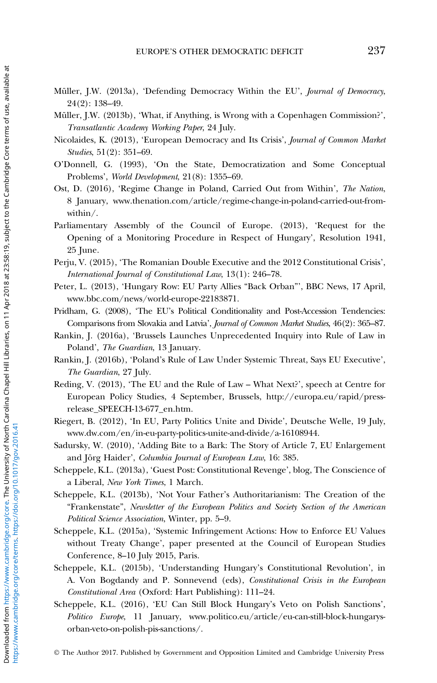- <span id="page-26-0"></span>Müller, J.W. (2013a), 'Defending Democracy Within the EU', Journal of Democracy, 24(2): 138–49.
- Müller, J.W. (2013b), 'What, if Anything, is Wrong with a Copenhagen Commission?', Transatlantic Academy Working Paper, 24 July.
- Nicolaides, K. (2013), 'European Democracy and Its Crisis', Journal of Common Market Studies, 51(2): 351–69.
- O'Donnell, G. (1993), 'On the State, Democratization and Some Conceptual Problems', World Development, 21(8): 1355–69.
- Ost, D. (2016), 'Regime Change in Poland, Carried Out from Within', The Nation, 8 January, [www.thenation.com/article/regime-change-in-poland-carried-out-from](www.thenation.com/article/regime-change-in-poland-carried-out-from-within/)[within/](www.thenation.com/article/regime-change-in-poland-carried-out-from-within/).
- Parliamentary Assembly of the Council of Europe. (2013), 'Request for the Opening of a Monitoring Procedure in Respect of Hungary', Resolution 1941, 25 June.
- Perju, V. (2015), 'The Romanian Double Executive and the 2012 Constitutional Crisis', International Journal of Constitutional Law, 13(1): 246–78.
- Peter, L. (2013), 'Hungary Row: EU Party Allies "Back Orban"', BBC News, 17 April, www.bbc.com/news/world-europe-22183871.
- Pridham, G. (2008), 'The EU's Political Conditionality and Post-Accession Tendencies: Comparisons from Slovakia and Latvia', Journal of Common Market Studies, 46(2): 365–87.
- Rankin, J. (2016a), 'Brussels Launches Unprecedented Inquiry into Rule of Law in Poland', The Guardian, 13 January.
- Rankin, J. (2016b), 'Poland's Rule of Law Under Systemic Threat, Says EU Executive', The Guardian, 27 July.
- Reding, V. (2013), 'The EU and the Rule of Law What Next?', speech at Centre for European Policy Studies, 4 September, Brussels, http://europa.eu/rapid/pressrelease\_SPEECH-13-677\_en.htm.
- Riegert, B. (2012), 'In EU, Party Politics Unite and Divide', Deutsche Welle, 19 July, <www.dw.com/en/in-eu-party-politics-unite-and-divide/a-16108944>.
- Sadursky, W. (2010), 'Adding Bite to a Bark: The Story of Article 7, EU Enlargement and Jörg Haider', Columbia Journal of European Law, 16: 385.
- Scheppele, K.L. (2013a), 'Guest Post: Constitutional Revenge', blog, The Conscience of a Liberal, New York Times, 1 March.
- Scheppele, K.L. (2013b), 'Not Your Father's Authoritarianism: The Creation of the "Frankenstate", Newsletter of the European Politics and Society Section of the American Political Science Association, Winter, pp. 5–9.
- Scheppele, K.L. (2015a), 'Systemic Infringement Actions: How to Enforce EU Values without Treaty Change', paper presented at the Council of European Studies Conference, 8–10 July 2015, Paris.
- Scheppele, K.L. (2015b), 'Understanding Hungary's Constitutional Revolution', in A. Von Bogdandy and P. Sonnevend (eds), Constitutional Crisis in the European Constitutional Area (Oxford: Hart Publishing): 111–24.
- Scheppele, K.L. (2016), 'EU Can Still Block Hungary's Veto on Polish Sanctions', Politico Europe, 11 January, [www.politico.eu/article/eu-can-still-block-hungarys](www.politico.eu/article/eu-can-still-block-hungarys-orban-veto-on-polish-pis-sanctions/)[orban-veto-on-polish-pis-sanctions/.](www.politico.eu/article/eu-can-still-block-hungarys-orban-veto-on-polish-pis-sanctions/)